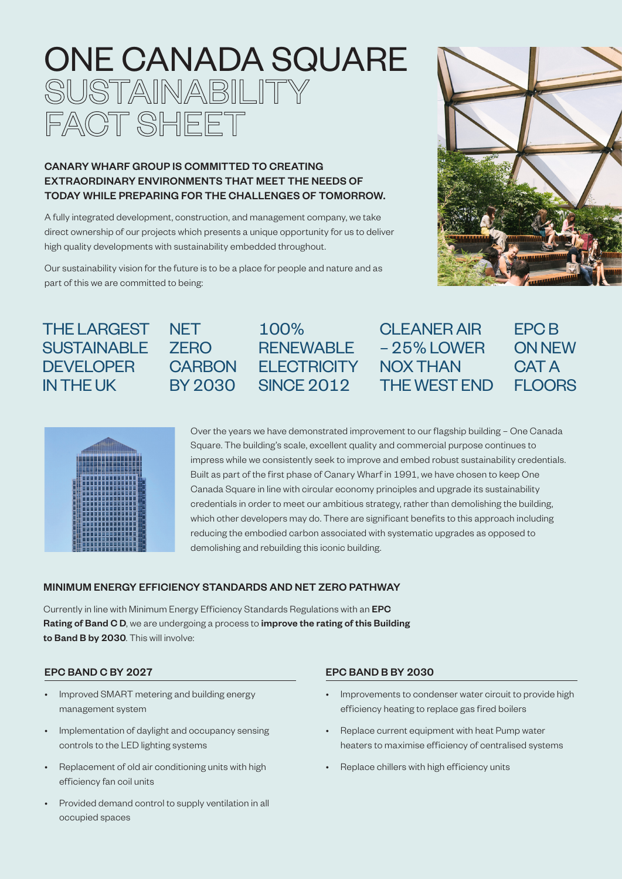# ONE CANADA SQUARE SUSTAINABILITY FACT SHEET

# CANARY WHARF GROUP IS COMMITTED TO CREATING EXTRAORDINARY ENVIRONMENTS THAT MEET THE NEEDS OF TODAY WHILE PREPARING FOR THE CHALLENGES OF TOMORROW.

A fully integrated development, construction, and management company, we take direct ownership of our projects which presents a unique opportunity for us to deliver high quality developments with sustainability embedded throughout.

Our sustainability vision for the future is to be a place for people and nature and as part of this we are committed to being:

> **NET** ZERO



# THE LARGEST **SUSTAINABLE DEVELOPER** IN THE UK

|   |   | <b>ANGELIAE</b> |        | m<br>m |   |         |   |   |  | <u> ===== === ===</u> |  |  |  |
|---|---|-----------------|--------|--------|---|---------|---|---|--|-----------------------|--|--|--|
|   |   |                 |        | Ξ      |   |         |   |   |  |                       |  |  |  |
|   | π |                 |        | ı      |   |         |   |   |  |                       |  |  |  |
|   |   |                 |        |        |   |         | ŧ |   |  |                       |  |  |  |
|   |   |                 |        |        |   |         |   |   |  |                       |  |  |  |
| æ |   |                 |        |        |   |         | ۲ |   |  | I<br>ı                |  |  |  |
|   |   | v.              | ÷<br>٠ |        | ٥ | ţ.<br>г | ١ | ŗ |  | ۹                     |  |  |  |

CARBON ELECTRICITY BY 2030 100% SINCE 2012

# RENEWABLE – 25% LOWER CLEANER AIR NOX THAN THE WEST END

EPC B ON NEW CAT A **FLOORS** 

Over the years we have demonstrated improvement to our flagship building – One Canada Square. The building's scale, excellent quality and commercial purpose continues to impress while we consistently seek to improve and embed robust sustainability credentials. Built as part of the first phase of Canary Wharf in 1991, we have chosen to keep One Canada Square in line with circular economy principles and upgrade its sustainability credentials in order to meet our ambitious strategy, rather than demolishing the building, which other developers may do. There are significant benefits to this approach including reducing the embodied carbon associated with systematic upgrades as opposed to demolishing and rebuilding this iconic building.

## MINIMUM ENERGY EFFICIENCY STANDARDS AND NET ZERO PATHWAY

Currently in line with Minimum Energy Efficiency Standards Regulations with an EPC Rating of Band C D, we are undergoing a process to improve the rating of this Building to Band B by 2030. This will involve:

#### EPC BAND C BY 2027

- Improved SMART metering and building energy management system
- Implementation of daylight and occupancy sensing controls to the LED lighting systems
- Replacement of old air conditioning units with high efficiency fan coil units
- Provided demand control to supply ventilation in all occupied spaces

#### EPC BAND B BY 2030

- Improvements to condenser water circuit to provide high efficiency heating to replace gas fired boilers
- Replace current equipment with heat Pump water heaters to maximise efficiency of centralised systems
- Replace chillers with high efficiency units